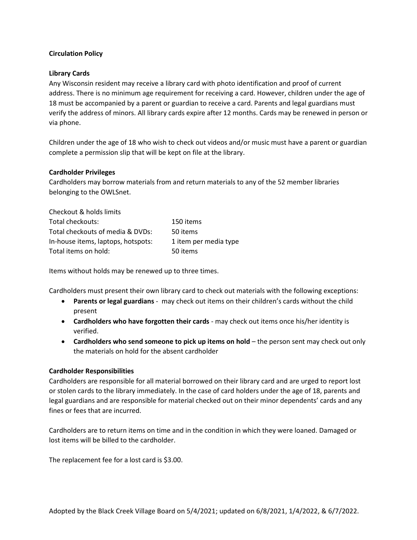# **Circulation Policy**

## **Library Cards**

Any Wisconsin resident may receive a library card with photo identification and proof of current address. There is no minimum age requirement for receiving a card. However, children under the age of 18 must be accompanied by a parent or guardian to receive a card. Parents and legal guardians must verify the address of minors. All library cards expire after 12 months. Cards may be renewed in person or via phone.

Children under the age of 18 who wish to check out videos and/or music must have a parent or guardian complete a permission slip that will be kept on file at the library.

### **Cardholder Privileges**

Cardholders may borrow materials from and return materials to any of the 52 member libraries belonging to the OWLSnet.

| Checkout & holds limits            |                       |
|------------------------------------|-----------------------|
| Total checkouts:                   | 150 items             |
| Total checkouts of media & DVDs:   | 50 items              |
| In-house items, laptops, hotspots: | 1 item per media type |
| Total items on hold:               | 50 items              |

Items without holds may be renewed up to three times.

Cardholders must present their own library card to check out materials with the following exceptions:

- **Parents or legal guardians** may check out items on their children's cards without the child present
- **Cardholders who have forgotten their cards** may check out items once his/her identity is verified.
- **Cardholders who send someone to pick up items on hold** the person sent may check out only the materials on hold for the absent cardholder

### **Cardholder Responsibilities**

Cardholders are responsible for all material borrowed on their library card and are urged to report lost or stolen cards to the library immediately. In the case of card holders under the age of 18, parents and legal guardians and are responsible for material checked out on their minor dependents' cards and any fines or fees that are incurred.

Cardholders are to return items on time and in the condition in which they were loaned. Damaged or lost items will be billed to the cardholder.

The replacement fee for a lost card is \$3.00.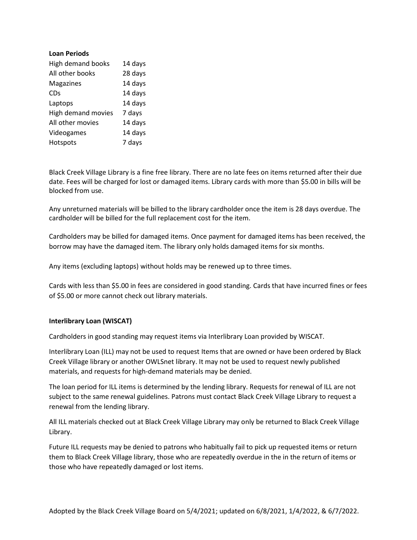## **Loan Periods**

| <b>High demand books</b> | 14 days |
|--------------------------|---------|
| All other books          | 28 days |
| Magazines                | 14 days |
| <b>CDs</b>               | 14 days |
| Laptops                  | 14 days |
| High demand movies       | 7 days  |
| All other movies         | 14 days |
| Videogames               | 14 days |
| Hotspots                 | 7 days  |

Black Creek Village Library is a fine free library. There are no late fees on items returned after their due date. Fees will be charged for lost or damaged items. Library cards with more than \$5.00 in bills will be blocked from use.

Any unreturned materials will be billed to the library cardholder once the item is 28 days overdue. The cardholder will be billed for the full replacement cost for the item.

Cardholders may be billed for damaged items. Once payment for damaged items has been received, the borrow may have the damaged item. The library only holds damaged items for six months.

Any items (excluding laptops) without holds may be renewed up to three times.

Cards with less than \$5.00 in fees are considered in good standing. Cards that have incurred fines or fees of \$5.00 or more cannot check out library materials.

# **Interlibrary Loan (WISCAT)**

Cardholders in good standing may request items via Interlibrary Loan provided by WISCAT.

Interlibrary Loan (ILL) may not be used to request Items that are owned or have been ordered by Black Creek Village library or another OWLSnet library. It may not be used to request newly published materials, and requests for high-demand materials may be denied.

The loan period for ILL items is determined by the lending library. Requests for renewal of ILL are not subject to the same renewal guidelines. Patrons must contact Black Creek Village Library to request a renewal from the lending library.

All ILL materials checked out at Black Creek Village Library may only be returned to Black Creek Village Library.

Future ILL requests may be denied to patrons who habitually fail to pick up requested items or return them to Black Creek Village library, those who are repeatedly overdue in the in the return of items or those who have repeatedly damaged or lost items.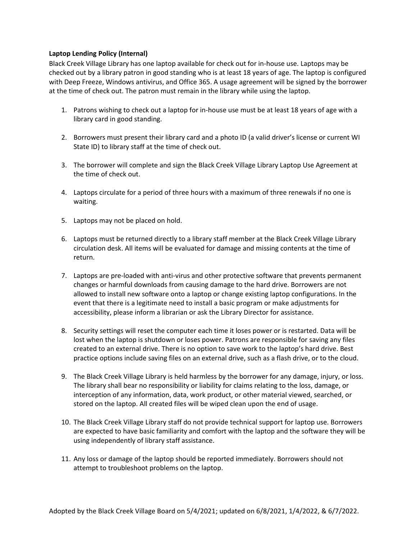# **Laptop Lending Policy (Internal)**

Black Creek Village Library has one laptop available for check out for in-house use. Laptops may be checked out by a library patron in good standing who is at least 18 years of age. The laptop is configured with Deep Freeze, Windows antivirus, and Office 365. A usage agreement will be signed by the borrower at the time of check out. The patron must remain in the library while using the laptop.

- 1. Patrons wishing to check out a laptop for in-house use must be at least 18 years of age with a library card in good standing.
- 2. Borrowers must present their library card and a photo ID (a valid driver's license or current WI State ID) to library staff at the time of check out.
- 3. The borrower will complete and sign the Black Creek Village Library Laptop Use Agreement at the time of check out.
- 4. Laptops circulate for a period of three hours with a maximum of three renewals if no one is waiting.
- 5. Laptops may not be placed on hold.
- 6. Laptops must be returned directly to a library staff member at the Black Creek Village Library circulation desk. All items will be evaluated for damage and missing contents at the time of return.
- 7. Laptops are pre-loaded with anti-virus and other protective software that prevents permanent changes or harmful downloads from causing damage to the hard drive. Borrowers are not allowed to install new software onto a laptop or change existing laptop configurations. In the event that there is a legitimate need to install a basic program or make adjustments for accessibility, please inform a librarian or ask the Library Director for assistance.
- 8. Security settings will reset the computer each time it loses power or is restarted. Data will be lost when the laptop is shutdown or loses power. Patrons are responsible for saving any files created to an external drive. There is no option to save work to the laptop's hard drive. Best practice options include saving files on an external drive, such as a flash drive, or to the cloud.
- 9. The Black Creek Village Library is held harmless by the borrower for any damage, injury, or loss. The library shall bear no responsibility or liability for claims relating to the loss, damage, or interception of any information, data, work product, or other material viewed, searched, or stored on the laptop. All created files will be wiped clean upon the end of usage.
- 10. The Black Creek Village Library staff do not provide technical support for laptop use. Borrowers are expected to have basic familiarity and comfort with the laptop and the software they will be using independently of library staff assistance.
- 11. Any loss or damage of the laptop should be reported immediately. Borrowers should not attempt to troubleshoot problems on the laptop.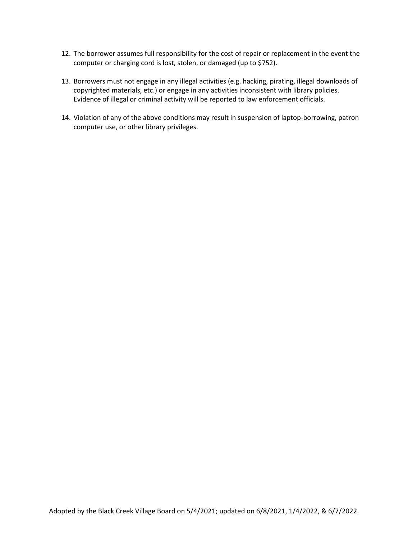- 12. The borrower assumes full responsibility for the cost of repair or replacement in the event the computer or charging cord is lost, stolen, or damaged (up to \$752).
- 13. Borrowers must not engage in any illegal activities (e.g. hacking, pirating, illegal downloads of copyrighted materials, etc.) or engage in any activities inconsistent with library policies. Evidence of illegal or criminal activity will be reported to law enforcement officials.
- 14. Violation of any of the above conditions may result in suspension of laptop-borrowing, patron computer use, or other library privileges.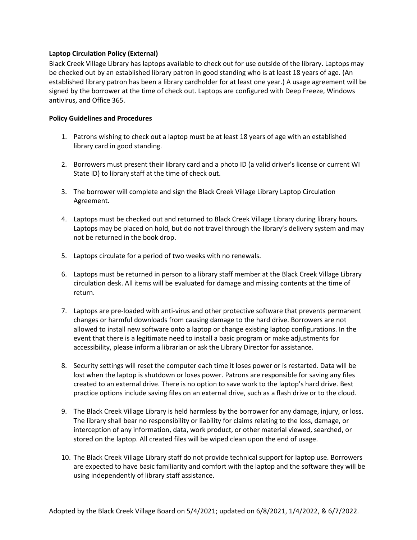## **Laptop Circulation Policy (External)**

Black Creek Village Library has laptops available to check out for use outside of the library. Laptops may be checked out by an established library patron in good standing who is at least 18 years of age. (An established library patron has been a library cardholder for at least one year.) A usage agreement will be signed by the borrower at the time of check out. Laptops are configured with Deep Freeze, Windows antivirus, and Office 365.

## **Policy Guidelines and Procedures**

- 1. Patrons wishing to check out a laptop must be at least 18 years of age with an established library card in good standing.
- 2. Borrowers must present their library card and a photo ID (a valid driver's license or current WI State ID) to library staff at the time of check out.
- 3. The borrower will complete and sign the Black Creek Village Library Laptop Circulation Agreement.
- 4. Laptops must be checked out and returned to Black Creek Village Library during library hours**.**  Laptops may be placed on hold, but do not travel through the library's delivery system and may not be returned in the book drop.
- 5. Laptops circulate for a period of two weeks with no renewals.
- 6. Laptops must be returned in person to a library staff member at the Black Creek Village Library circulation desk. All items will be evaluated for damage and missing contents at the time of return.
- 7. Laptops are pre-loaded with anti-virus and other protective software that prevents permanent changes or harmful downloads from causing damage to the hard drive. Borrowers are not allowed to install new software onto a laptop or change existing laptop configurations. In the event that there is a legitimate need to install a basic program or make adjustments for accessibility, please inform a librarian or ask the Library Director for assistance.
- 8. Security settings will reset the computer each time it loses power or is restarted. Data will be lost when the laptop is shutdown or loses power. Patrons are responsible for saving any files created to an external drive. There is no option to save work to the laptop's hard drive. Best practice options include saving files on an external drive, such as a flash drive or to the cloud.
- 9. The Black Creek Village Library is held harmless by the borrower for any damage, injury, or loss. The library shall bear no responsibility or liability for claims relating to the loss, damage, or interception of any information, data, work product, or other material viewed, searched, or stored on the laptop. All created files will be wiped clean upon the end of usage.
- 10. The Black Creek Village Library staff do not provide technical support for laptop use. Borrowers are expected to have basic familiarity and comfort with the laptop and the software they will be using independently of library staff assistance.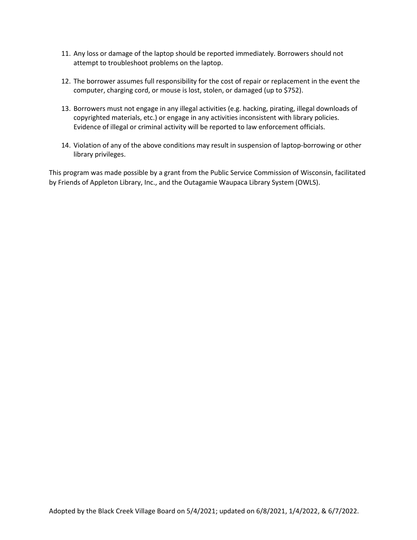- 11. Any loss or damage of the laptop should be reported immediately. Borrowers should not attempt to troubleshoot problems on the laptop.
- 12. The borrower assumes full responsibility for the cost of repair or replacement in the event the computer, charging cord, or mouse is lost, stolen, or damaged (up to \$752).
- 13. Borrowers must not engage in any illegal activities (e.g. hacking, pirating, illegal downloads of copyrighted materials, etc.) or engage in any activities inconsistent with library policies. Evidence of illegal or criminal activity will be reported to law enforcement officials.
- 14. Violation of any of the above conditions may result in suspension of laptop-borrowing or other library privileges.

This program was made possible by a grant from the Public Service Commission of Wisconsin, facilitated by Friends of Appleton Library, Inc., and the Outagamie Waupaca Library System (OWLS).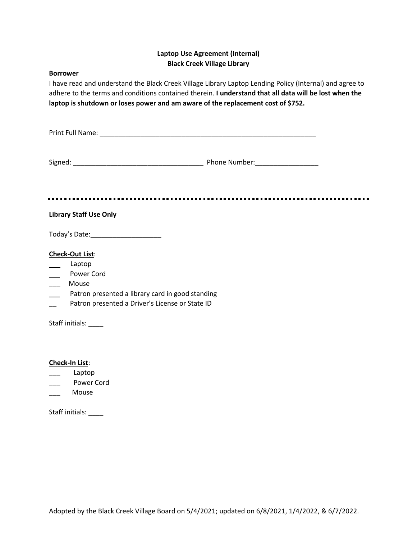# **Laptop Use Agreement (Internal) Black Creek Village Library**

### **Borrower**

I have read and understand the Black Creek Village Library Laptop Lending Policy (Internal) and agree to adhere to the terms and conditions contained therein. **I understand that all data will be lost when the laptop is shutdown or loses power and am aware of the replacement cost of \$752.**

Print Full Name: \_\_\_\_\_\_\_\_\_\_\_\_\_\_\_\_\_\_\_\_\_\_\_\_\_\_\_\_\_\_\_\_\_\_\_\_\_\_\_\_\_\_\_\_\_\_\_\_\_\_\_\_\_\_\_\_\_\_

Signed: \_\_\_\_\_\_\_\_\_\_\_\_\_\_\_\_\_\_\_\_\_\_\_\_\_\_\_\_\_\_\_\_\_\_\_ Phone Number:\_\_\_\_\_\_\_\_\_\_\_\_\_\_\_\_\_

# **Library Staff Use Only**

Today's Date:\_\_\_\_\_\_\_\_\_\_\_\_\_\_\_\_\_\_\_

## **Check-Out List**:

- \_\_\_ Laptop
- \_\_ Power Cord
- \_\_\_ Mouse
- \_\_ Patron presented a library card in good standing
- Patron presented a Driver's License or State ID

Staff initials: \_\_\_\_\_

### **Check-In List**:

- \_\_\_ Laptop
- Power Cord
- \_\_\_ Mouse

Staff initials: \_\_\_\_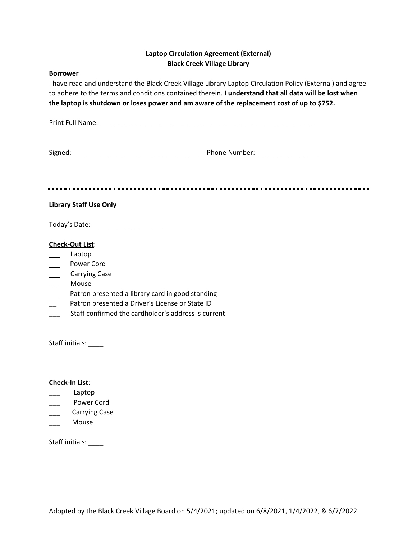# **Laptop Circulation Agreement (External) Black Creek Village Library**

### **Borrower**

I have read and understand the Black Creek Village Library Laptop Circulation Policy (External) and agree to adhere to the terms and conditions contained therein. **I understand that all data will be lost when the laptop is shutdown or loses power and am aware of the replacement cost of up to \$752.**

Print Full Name: \_\_\_\_\_\_\_\_\_\_\_\_\_\_\_\_\_\_\_\_\_\_\_\_\_\_\_\_\_\_\_\_\_\_\_\_\_\_\_\_\_\_\_\_\_\_\_\_\_\_\_\_\_\_\_\_\_\_

Signed: \_\_\_\_\_\_\_\_\_\_\_\_\_\_\_\_\_\_\_\_\_\_\_\_\_\_\_\_\_\_\_\_\_\_\_ Phone Number:\_\_\_\_\_\_\_\_\_\_\_\_\_\_\_\_\_

# **Library Staff Use Only**

Today's Date:\_\_\_\_\_\_\_\_\_\_\_\_\_\_\_\_\_\_\_

# **Check-Out List**:

- \_\_\_ Laptop
- \_\_ Power Cord
- \_\_\_ Carrying Case
- \_\_\_ Mouse
- Patron presented a library card in good standing
- Patron presented a Driver's License or State ID
- Staff confirmed the cardholder's address is current

Staff initials: \_\_\_\_

### **Check-In List**:

- \_\_\_ Laptop
- Power Cord
- \_\_\_ Carrying Case
- \_\_\_ Mouse

Staff initials: \_\_\_\_\_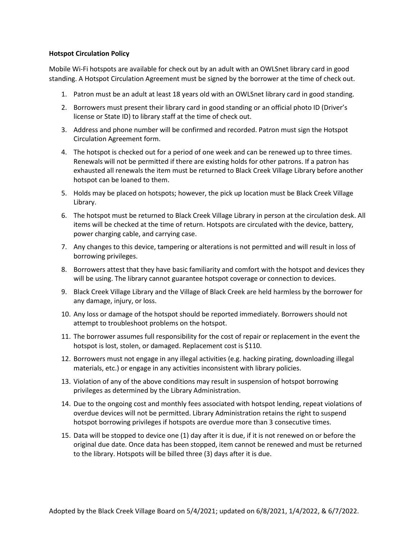## **Hotspot Circulation Policy**

Mobile Wi-Fi hotspots are available for check out by an adult with an OWLSnet library card in good standing. A Hotspot Circulation Agreement must be signed by the borrower at the time of check out.

- 1. Patron must be an adult at least 18 years old with an OWLSnet library card in good standing.
- 2. Borrowers must present their library card in good standing or an official photo ID (Driver's license or State ID) to library staff at the time of check out.
- 3. Address and phone number will be confirmed and recorded. Patron must sign the Hotspot Circulation Agreement form.
- 4. The hotspot is checked out for a period of one week and can be renewed up to three times. Renewals will not be permitted if there are existing holds for other patrons. If a patron has exhausted all renewals the item must be returned to Black Creek Village Library before another hotspot can be loaned to them.
- 5. Holds may be placed on hotspots; however, the pick up location must be Black Creek Village Library.
- 6. The hotspot must be returned to Black Creek Village Library in person at the circulation desk. All items will be checked at the time of return. Hotspots are circulated with the device, battery, power charging cable, and carrying case.
- 7. Any changes to this device, tampering or alterations is not permitted and will result in loss of borrowing privileges.
- 8. Borrowers attest that they have basic familiarity and comfort with the hotspot and devices they will be using. The library cannot guarantee hotspot coverage or connection to devices.
- 9. Black Creek Village Library and the Village of Black Creek are held harmless by the borrower for any damage, injury, or loss.
- 10. Any loss or damage of the hotspot should be reported immediately. Borrowers should not attempt to troubleshoot problems on the hotspot.
- 11. The borrower assumes full responsibility for the cost of repair or replacement in the event the hotspot is lost, stolen, or damaged. Replacement cost is \$110.
- 12. Borrowers must not engage in any illegal activities (e.g. hacking pirating, downloading illegal materials, etc.) or engage in any activities inconsistent with library policies.
- 13. Violation of any of the above conditions may result in suspension of hotspot borrowing privileges as determined by the Library Administration.
- 14. Due to the ongoing cost and monthly fees associated with hotspot lending, repeat violations of overdue devices will not be permitted. Library Administration retains the right to suspend hotspot borrowing privileges if hotspots are overdue more than 3 consecutive times.
- 15. Data will be stopped to device one (1) day after it is due, if it is not renewed on or before the original due date. Once data has been stopped, item cannot be renewed and must be returned to the library. Hotspots will be billed three (3) days after it is due.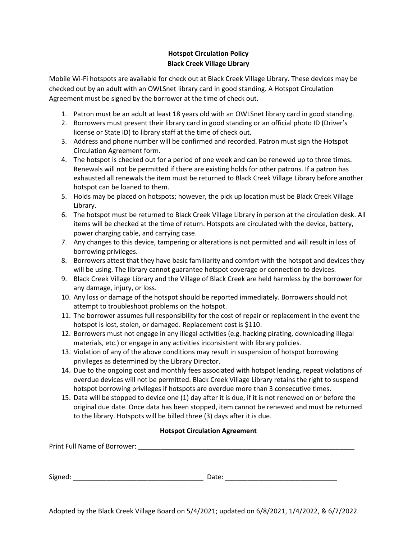# **Hotspot Circulation Policy Black Creek Village Library**

Mobile Wi-Fi hotspots are available for check out at Black Creek Village Library. These devices may be checked out by an adult with an OWLSnet library card in good standing. A Hotspot Circulation Agreement must be signed by the borrower at the time of check out.

- 1. Patron must be an adult at least 18 years old with an OWLSnet library card in good standing.
- 2. Borrowers must present their library card in good standing or an official photo ID (Driver's license or State ID) to library staff at the time of check out.
- 3. Address and phone number will be confirmed and recorded. Patron must sign the Hotspot Circulation Agreement form.
- 4. The hotspot is checked out for a period of one week and can be renewed up to three times. Renewals will not be permitted if there are existing holds for other patrons. If a patron has exhausted all renewals the item must be returned to Black Creek Village Library before another hotspot can be loaned to them.
- 5. Holds may be placed on hotspots; however, the pick up location must be Black Creek Village Library.
- 6. The hotspot must be returned to Black Creek Village Library in person at the circulation desk. All items will be checked at the time of return. Hotspots are circulated with the device, battery, power charging cable, and carrying case.
- 7. Any changes to this device, tampering or alterations is not permitted and will result in loss of borrowing privileges.
- 8. Borrowers attest that they have basic familiarity and comfort with the hotspot and devices they will be using. The library cannot guarantee hotspot coverage or connection to devices.
- 9. Black Creek Village Library and the Village of Black Creek are held harmless by the borrower for any damage, injury, or loss.
- 10. Any loss or damage of the hotspot should be reported immediately. Borrowers should not attempt to troubleshoot problems on the hotspot.
- 11. The borrower assumes full responsibility for the cost of repair or replacement in the event the hotspot is lost, stolen, or damaged. Replacement cost is \$110.
- 12. Borrowers must not engage in any illegal activities (e.g. hacking pirating, downloading illegal materials, etc.) or engage in any activities inconsistent with library policies.
- 13. Violation of any of the above conditions may result in suspension of hotspot borrowing privileges as determined by the Library Director.
- 14. Due to the ongoing cost and monthly fees associated with hotspot lending, repeat violations of overdue devices will not be permitted. Black Creek Village Library retains the right to suspend hotspot borrowing privileges if hotspots are overdue more than 3 consecutive times.
- 15. Data will be stopped to device one (1) day after it is due, if it is not renewed on or before the original due date. Once data has been stopped, item cannot be renewed and must be returned to the library. Hotspots will be billed three (3) days after it is due.

# **Hotspot Circulation Agreement**

| <b>Print Full Name of Borrower:</b> |  |
|-------------------------------------|--|
|                                     |  |

| $\sim$<br>the contract of the contract of<br>Signed | ,,,,<br>udle. " |
|-----------------------------------------------------|-----------------|
|-----------------------------------------------------|-----------------|